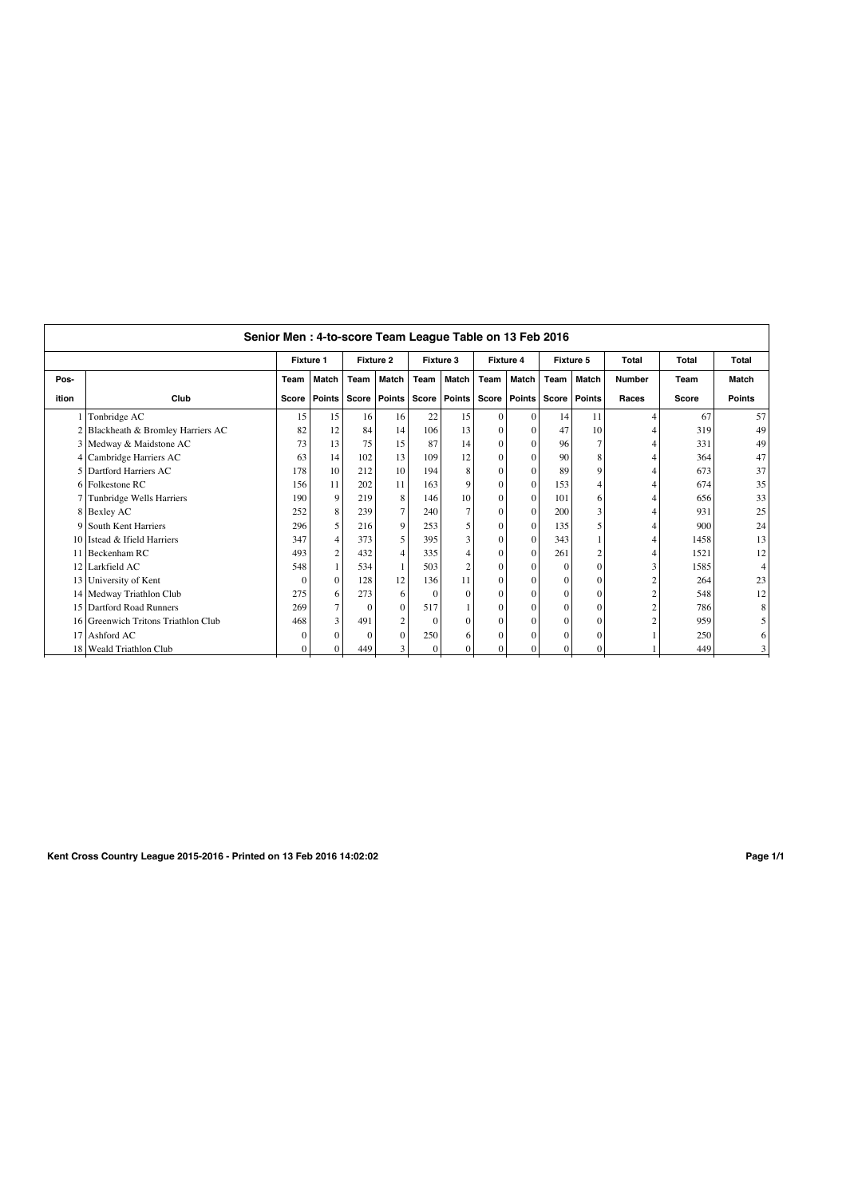| Senior Men: 4-to-score Team League Table on 13 Feb 2016 |                                     |                  |                |           |                         |              |                |                  |                |           |               |                |       |               |
|---------------------------------------------------------|-------------------------------------|------------------|----------------|-----------|-------------------------|--------------|----------------|------------------|----------------|-----------|---------------|----------------|-------|---------------|
|                                                         |                                     | <b>Fixture 1</b> |                | Fixture 2 |                         | Fixture 3    |                | <b>Fixture 4</b> |                | Fixture 5 |               | Total          | Total | Total         |
| Pos-                                                    |                                     | Team             | Match          | Team      | Match                   | Team         | Match          | Team             | Match          | Team      | Match         | <b>Number</b>  | Team  | Match         |
| ition                                                   | Club                                |                  | Score   Points | Score     | Points                  |              | Score   Points |                  | Score   Points | Score     | <b>Points</b> | Races          | Score | <b>Points</b> |
|                                                         | Tonbridge AC                        | 15               | 15             | 16        | 16                      | 22           | 15             | $\Omega$         | $\mathbf{0}$   | 14        | 11            | 4              | 67    | 57            |
|                                                         | 2 Blackheath & Bromley Harriers AC  | 82               | 12             | 84        | 14                      | 106          | 13             | $\Omega$         | $\Omega$       | 47        | 10            | 4              | 319   | 49            |
|                                                         | 3 Medway & Maidstone AC             | 73               | 13             | 75        | 15                      | 87           | 14             | $\Omega$         | $\mathbf{0}$   | 96        |               | 4              | 331   | 49            |
|                                                         | 4 Cambridge Harriers AC             | 63               | 14             | 102       | 13                      | 109          | 12             | $\theta$         | $\Omega$       | 90        |               | 4              | 364   | 47            |
|                                                         | 5 Dartford Harriers AC              | 178              | 10             | 212       | 10                      | 194          | 8              | $\Omega$         | $\Omega$       | 89        |               | 4              | 673   | 37            |
|                                                         | 6 Folkestone RC                     | 156              | 11             | 202       | 11                      | 163          | $\mathbf Q$    | $\Omega$         | $\Omega$       | 153       |               | 4              | 674   | 35            |
|                                                         | 7 Tunbridge Wells Harriers          | 190              | 9              | 219       | 8                       | 146          | 10             | $\Omega$         | $\Omega$       | 101       | 6             | 4              | 656   | 33            |
|                                                         | 8 Bexley AC                         | 252              | 8              | 239       | $\tau$                  | 240          |                | $\theta$         | $\Omega$       | 200       | 3             | 4              | 931   | 25            |
|                                                         | 9 South Kent Harriers               | 296              | 5              | 216       | 9                       | 253          |                | $\Omega$         | $\mathbf{0}$   | 135       |               | 4              | 900   | 24            |
|                                                         | 10 Istead & Ifield Harriers         | 347              | $\overline{4}$ | 373       | 5                       | 395          | 3              | $\theta$         | $\Omega$       | 343       |               | 4              | 1458  | 13            |
|                                                         | 11 Beckenham RC                     | 493              | $\overline{2}$ | 432       | 4                       | 335          | 4              | $\Omega$         | $\Omega$       | 261       |               | 4              | 1521  | 12            |
|                                                         | 12 Larkfield AC                     | 548              | $\mathbf{1}$   | 534       | $\mathbf{1}$            | 503          | $\overline{2}$ | $\Omega$         | $\Omega$       | $\Omega$  |               | 3              | 1585  |               |
|                                                         | 13 University of Kent               | $\Omega$         | $\mathbf{0}$   | 128       | 12                      | 136          | 11             | $\Omega$         | $\Omega$       | $\Omega$  | $\Omega$      | $\overline{c}$ | 264   | 23            |
|                                                         | 14 Medway Triathlon Club            | 275              | 6              | 273       | 6                       | $\Omega$     | $\Omega$       | $\Omega$         | $\Omega$       | $\Omega$  |               | $\overline{c}$ | 548   | 12            |
|                                                         | 15 Dartford Road Runners            | 269              | $\tau$         | $\Omega$  | $\mathbf{0}$            | 517          |                | $\Omega$         | $\mathbf{0}$   | $\Omega$  | $\Omega$      | $\overline{c}$ | 786   |               |
|                                                         | 16 Greenwich Tritons Triathlon Club | 468              | 3              | 491       | $\overline{\mathbf{c}}$ | $\Omega$     | $\Omega$       | $\Omega$         | $\Omega$       | $\Omega$  |               | $\overline{c}$ | 959   |               |
|                                                         | 17 Ashford AC                       | $\Omega$         | $\Omega$       | $\Omega$  | $\Omega$                | 250          | 6              | $\Omega$         | $\Omega$       | $\Omega$  |               |                | 250   |               |
|                                                         | 18   Weald Triathlon Club           | $\Omega$         | $\Omega$       | 449       | 3                       | $\mathbf{0}$ | $\Omega$       | $\Omega$         | $\Omega$       | $\Omega$  |               |                | 449   |               |
|                                                         |                                     |                  |                |           |                         |              |                |                  |                |           |               |                |       |               |

**Kent Cross Country League 2015-2016 - Printed on 13 Feb 2016 14:02:02 Page 1/1**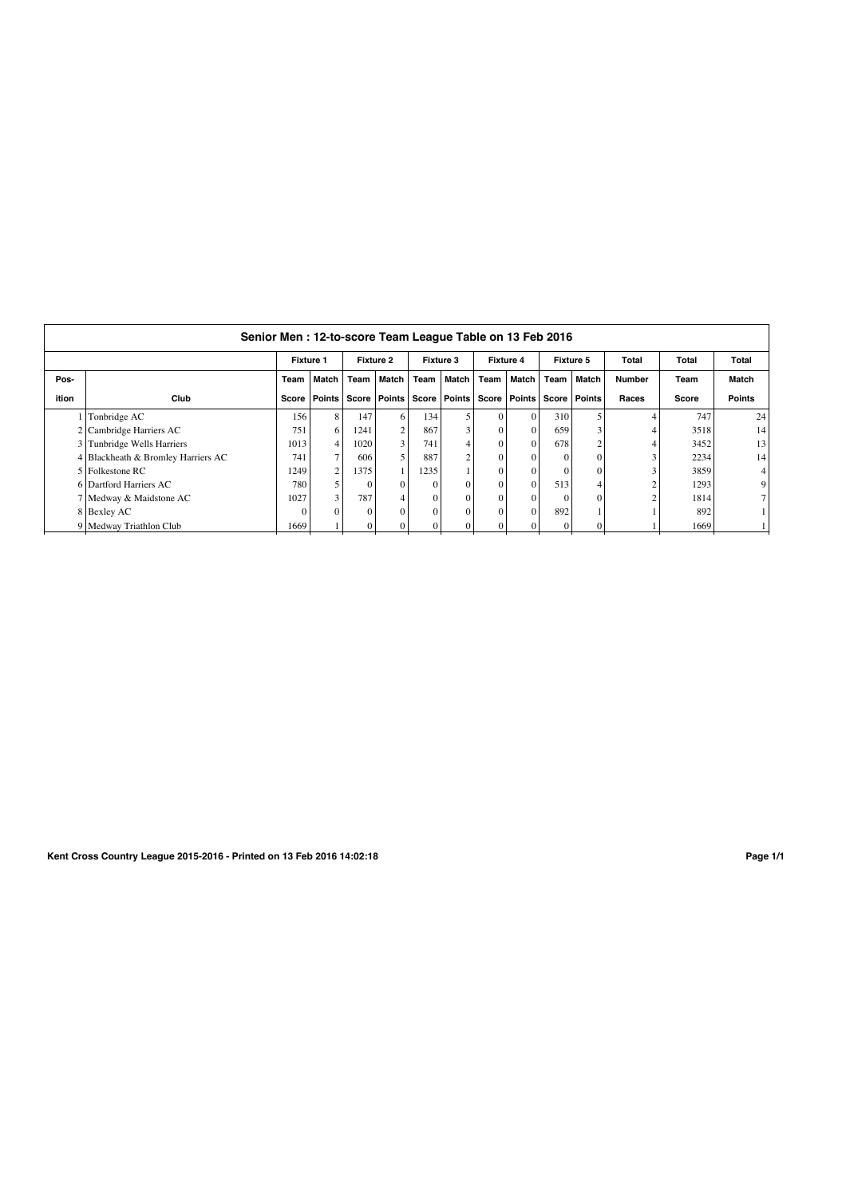| Senior Men: 12-to-score Team League Table on 13 Feb 2016 |                                    |                  |                |                  |                         |           |                |                  |                |                |         |               |       |               |
|----------------------------------------------------------|------------------------------------|------------------|----------------|------------------|-------------------------|-----------|----------------|------------------|----------------|----------------|---------|---------------|-------|---------------|
|                                                          |                                    | <b>Fixture 1</b> |                | <b>Fixture 2</b> |                         | Fixture 3 |                | <b>Fixture 4</b> |                | Fixture 5      |         | Total         | Total | Total         |
| Pos-                                                     |                                    | Team             | <b>Match</b>   | Team             | Match                   | Team      | Match          | Team             | Match          | Team           | l Match | <b>Number</b> | Team  | Match         |
| ition                                                    | Club                               | Score            | Points         | Score            | Points                  |           | Score   Points |                  | Score   Points | Score   Points |         | Races         | Score | <b>Points</b> |
|                                                          | Tonbridge AC                       | 156              | 8              | 147              | 6 <sup>1</sup>          | 134       |                |                  | $\mathbf{0}$   | 310            |         |               | 747   | 24            |
|                                                          | 2 Cambridge Harriers AC            | 751              | 6              | 1241             | $\overline{c}$          | 867       |                | $\Omega$         | $\mathbf{0}$   | 659            |         |               | 3518  | 14            |
|                                                          | 3 Tunbridge Wells Harriers         | 1013             | $\overline{4}$ | 1020             | $\overline{3}$          | 741       |                |                  | $\Omega$       | 678            |         |               | 3452  | 13            |
|                                                          | 4 Blackheath & Bromley Harriers AC | 741              | 7 <sub>1</sub> | 606              | 5                       | 887       |                | $\Omega$         | $\Omega$       |                |         | 3             | 2234  | 14            |
|                                                          | 5 Folkestone RC                    | 1249             | $\overline{2}$ | 1375             |                         | 1235      |                | $\Omega$         | $\Omega$       |                |         |               | 3859  | 4             |
|                                                          | 6 Dartford Harriers AC             | 780              |                | 0                | $\Omega$                | $\Omega$  |                | $\Omega$         | $\Omega$       | 513            |         | ↑             | 1293  | 9             |
|                                                          | 7 Medway & Maidstone AC            | 1027             | 3              | 787              | $\overline{\mathbf{4}}$ | $\Omega$  |                | $\Omega$         | $\Omega$       |                |         |               | 1814  |               |
|                                                          | 8 Bexley AC                        |                  | $\Omega$       |                  | $\Omega$                | $\Omega$  |                |                  | $\Omega$       | 892            |         |               | 892   |               |
|                                                          | 9 Medway Triathlon Club            | 1669             |                |                  | 0                       |           |                |                  | 0              |                |         |               | 1669  |               |

**Kent Cross Country League 2015-2016 - Printed on 13 Feb 2016 14:02:18 Page 1/1**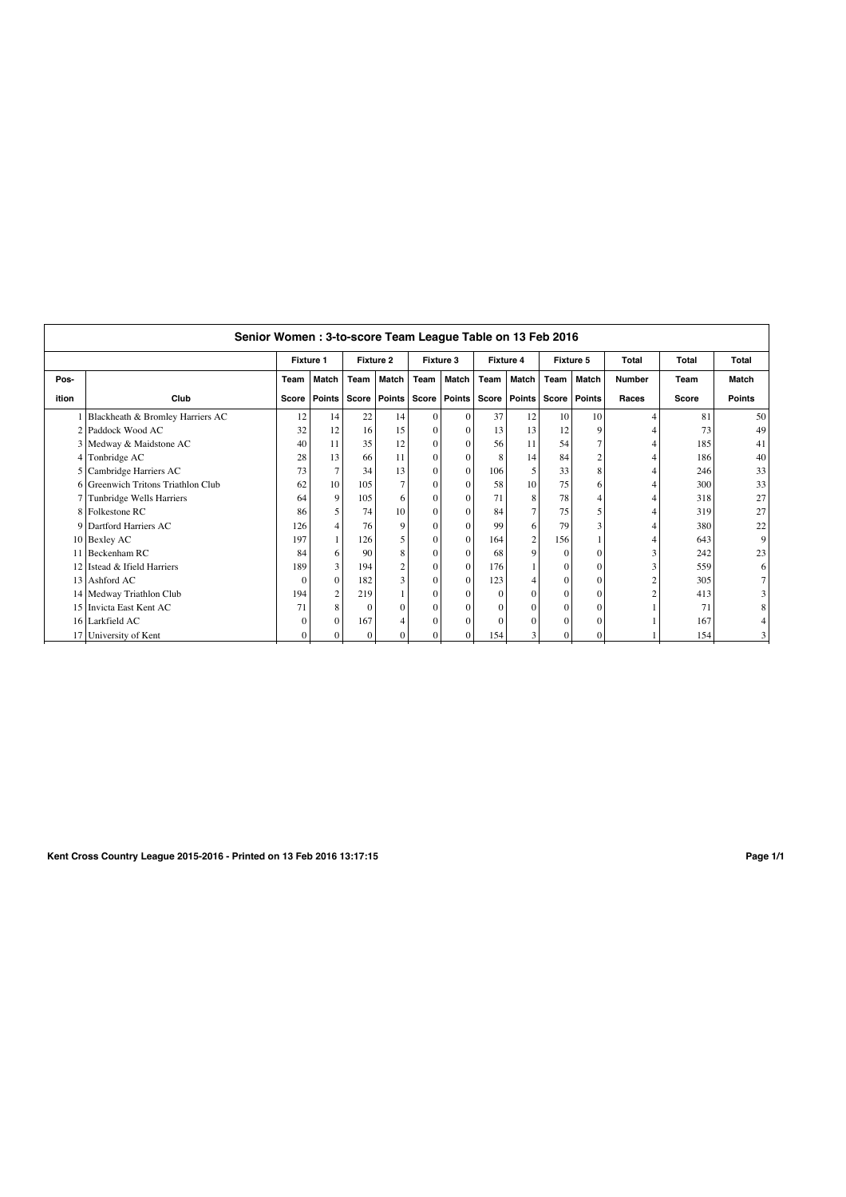|       | Senior Women: 3-to-score Team League Table on 13 Feb 2016 |                  |                |                  |                |              |                |                  |                |           |                |                |              |               |
|-------|-----------------------------------------------------------|------------------|----------------|------------------|----------------|--------------|----------------|------------------|----------------|-----------|----------------|----------------|--------------|---------------|
|       |                                                           | <b>Fixture 1</b> |                | <b>Fixture 2</b> |                | Fixture 3    |                | <b>Fixture 4</b> |                | Fixture 5 |                | <b>Total</b>   | <b>Total</b> | <b>Total</b>  |
| Pos-  |                                                           | Team             | <b>Match</b>   | Team             | Match          | Team         | Match          | Team             | Match          | Team      | Match          | <b>Number</b>  | Team         | Match         |
| ition | Club                                                      |                  | Score   Points | Score            | <b>Points</b>  |              | Score   Points | Score            | <b>Points</b>  |           | Score   Points | Races          | Score        | <b>Points</b> |
|       | 1 Blackheath & Bromley Harriers AC                        | 12               | 14             | 22               | 14             | $\Omega$     | $\Omega$       | 37               | 12             | 10        | 10             | 4              | 81           | 50            |
|       | 2 Paddock Wood AC                                         | 32               | 12             | 16               | 15             | $\Omega$     | $\Omega$       | 13               | 13             | 12        |                | 4              | 73           | 49            |
|       | 3 Medway & Maidstone AC                                   | 40               | 11             | 35               | 12             | $\Omega$     | $\Omega$       | 56               | 11             | 54        |                | 4              | 185          | 41            |
|       | 4 Tonbridge AC                                            | 28               | 13             | 66               | 11             | $\Omega$     | $\Omega$       | $\mathbf{8}$     | 14             | 84        |                | 4              | 186          | 40            |
|       | 5 Cambridge Harriers AC                                   | 73               | $\tau$         | 34               | 13             | $\Omega$     | $\Omega$       | 106              | 5              | 33        |                | 4              | 246          | 33            |
|       | 6 Greenwich Tritons Triathlon Club                        | 62               | 10             | 105              | 7              | $\Omega$     | $\Omega$       | 58               | 10             | 75        |                | 4              | 300          | 33            |
|       | 7 Tunbridge Wells Harriers                                | 64               | 9              | 105              | 6              | $\Omega$     | $\Omega$       | 71               | 8              | 78        |                | 4              | 318          | 27            |
|       | 8 Folkestone RC                                           | 86               | 5              | 74               | 10             | $\Omega$     | $\Omega$       | 84               | $\overline{7}$ | 75        |                | 4              | 319          | 27            |
|       | 9 Dartford Harriers AC                                    | 126              | $\overline{4}$ | 76               | $\mathbf Q$    | $\Omega$     | $\Omega$       | 99               | 6              | 79        |                | 4              | 380          | 22            |
|       | 10 Bexley AC                                              | 197              |                | 126              | 5              | $\mathbf{0}$ | $\Omega$       | 164              | $\sqrt{2}$     | 156       |                | 4              | 643          | 9             |
|       | 11 Beckenham RC                                           | 84               | 6 <sup>1</sup> | 90               | 8              | $\Omega$     | $\Omega$       | 68               | 9              | $\theta$  |                | 3              | 242          | 23            |
|       | 12 Istead & Ifield Harriers                               | 189              | 3              | 194              | $\overline{c}$ | $\Omega$     | $\Omega$       | 176              |                | $\Omega$  |                | 3              | 559          | 6             |
|       | 13 Ashford AC                                             | $\Omega$         | $\Omega$       | 182              | 3              | $\Omega$     | $\Omega$       | 123              | 4              | $\Omega$  |                | $\overline{c}$ | 305          |               |
|       | 14 Medway Triathlon Club                                  | 194              | $\overline{c}$ | 219              |                | $\Omega$     | $\Omega$       | $\Omega$         | $\theta$       | $\Omega$  |                | $\overline{c}$ | 413          |               |
|       | 15 Invicta East Kent AC                                   | 71               | 8              | $\Omega$         | O              | $\Omega$     | $\Omega$       | $\Omega$         | $\theta$       | 0         |                |                | 71           |               |
|       | 16 Larkfield AC                                           | $\Omega$         | $\Omega$       | 167              |                | $\Omega$     | $\Omega$       |                  | 0              | 0         |                |                | 167          |               |
|       | 17 University of Kent                                     | $\Omega$         | $\Omega$       | $\Omega$         |                | $\Omega$     | $\Omega$       | 154              | 3              | 0         |                |                | 154          |               |
|       |                                                           |                  |                |                  |                |              |                |                  |                |           |                |                |              |               |

**Kent Cross Country League 2015-2016 - Printed on 13 Feb 2016 13:17:15 Page 1/1**